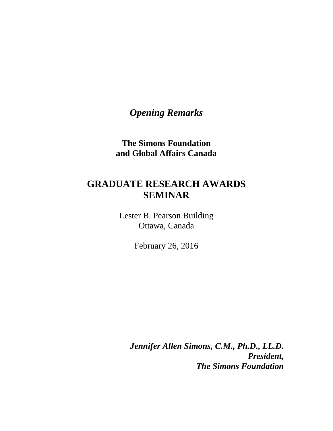*Opening Remarks*

**The Simons Foundation and Global Affairs Canada**

## **GRADUATE RESEARCH AWARDS SEMINAR**

Lester B. Pearson Building Ottawa, Canada

February 26, 2016

*Jennifer Allen Simons, C.M., Ph.D., LL.D. President, The Simons Foundation*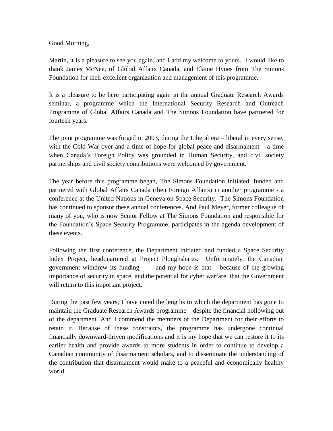## Good Morning,

Martin, it is a pleasure to see you again, and I add my welcome to yours. I would like to thank James McNee, of Global Affairs Canada, and Elaine Hynes from The Simons Foundation for their excellent organization and management of this programme.

It is a pleasure to be here participating again in the annual Graduate Research Awards seminar, a programme which the International Security Research and Outreach Programme of Global Affairs Canada and The Simons Foundation have partnered for fourteen years.

The joint programme was forged in 2003, during the Liberal era – liberal in every sense, with the Cold War over and a time of hope for global peace and disarmament – a time when Canada's Foreign Policy was grounded in Human Security, and civil society partnerships and civil society contributions were welcomed by government.

The year before this programme began, The Simons Foundation initiated, funded and partnered with Global Affairs Canada (then Foreign Affairs) in another programme - a conference at the United Nations in Geneva on Space Security. The Simons Foundation has continued to sponsor these annual conferences. And Paul Meyer, former colleague of many of you, who is now Senior Fellow at The Simons Foundation and responsible for the Foundation's Space Security Programme, participates in the agenda development of these events.

Following the first conference, the Department initiated and funded a Space Security Index Project, headquartered at Project Ploughshares. Unfortunately, the Canadian government withdrew its funding and my hope is that – because of the growing importance of security in space, and the potential for cyber warfare, that the Government will return to this important project.

During the past few years, I have noted the lengths to which the department has gone to maintain the Graduate Research Awards programme – despite the financial hollowing out of the department. And I commend the members of the Department for their efforts to retain it. Because of these constraints, the programme has undergone continual financially downward-driven modifications and it is my hope that we can restore it to its earlier health and provide awards to more students in order to continue to develop a Canadian community of disarmament scholars, and to disseminate the understanding of the contribution that disarmament would make to a peaceful and economically healthy world.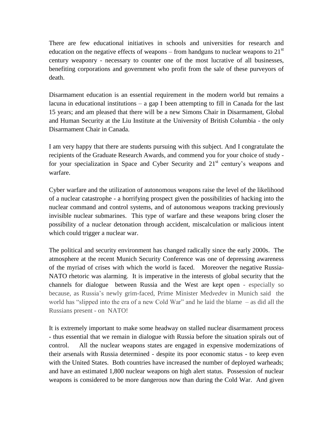There are few educational initiatives in schools and universities for research and education on the negative effects of weapons – from handguns to nuclear weapons to  $21<sup>st</sup>$ century weaponry - necessary to counter one of the most lucrative of all businesses, benefiting corporations and government who profit from the sale of these purveyors of death.

Disarmament education is an essential requirement in the modern world but remains a lacuna in educational institutions – a gap I been attempting to fill in Canada for the last 15 years; and am pleased that there will be a new Simons Chair in Disarmament, Global and Human Security at the Liu Institute at the University of British Columbia - the only Disarmament Chair in Canada.

I am very happy that there are students pursuing with this subject. And I congratulate the recipients of the Graduate Research Awards, and commend you for your choice of study for your specialization in Space and Cyber Security and 21<sup>st</sup> century's weapons and warfare.

Cyber warfare and the utilization of autonomous weapons raise the level of the likelihood of a nuclear catastrophe - a horrifying prospect given the possibilities of hacking into the nuclear command and control systems, and of autonomous weapons tracking previously invisible nuclear submarines. This type of warfare and these weapons bring closer the possibility of a nuclear detonation through accident, miscalculation or malicious intent which could trigger a nuclear war.

The political and security environment has changed radically since the early 2000s. The atmosphere at the recent Munich Security Conference was one of depressing awareness of the myriad of crises with which the world is faced. Moreover the negative Russia-NATO rhetoric was alarming. It is imperative in the interests of global security that the channels for dialogue between Russia and the West are kept open - especially so because, as Russia's newly grim-faced, Prime Minister Med*ved*ev in Munich said the world has "slipped into the era of a new Cold War" and he laid the blame – as did all the Russians present - on NATO!

It is extremely important to make some headway on stalled nuclear disarmament process - thus essential that we remain in dialogue with Russia before the situation spirals out of control. All the nuclear weapons states are engaged in expensive modernizations of their arsenals with Russia determined - despite its poor economic status - to keep even with the United States. Both countries have increased the number of deployed warheads; and have an estimated 1,800 nuclear weapons on high alert status. Possession of nuclear weapons is considered to be more dangerous now than during the Cold War. And given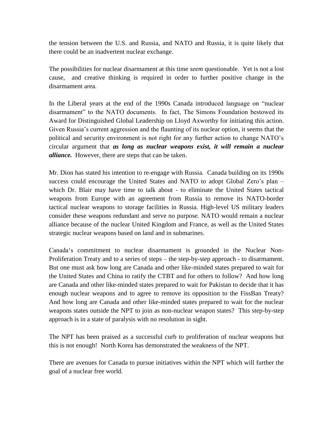the tension between the U.S. and Russia, and NATO and Russia, it is quite likely that there could be an inadvertent nuclear exchange.

The possibilities for nuclear disarmament at this time *seem* questionable. Yet is not a lost cause, and creative thinking is required in order to further positive change in the disarmament area.

In the Liberal years at the end of the 1990s Canada introduced language on "nuclear disarmament" to the NATO documents. In fact, The Simons Foundation bestowed its Award for Distinguished Global Leadership on Lloyd Axworthy for initiating this action. Given Russia's current aggression and the flaunting of its nuclear option, it seems that the political and security environment is not right for any further action to change NATO's circular argument that *as long as nuclear weapons exist, it will remain a nuclear alliance.* However, there are steps that can be taken.

Mr. Dion has stated his intention to re-engage with Russia. Canada building on its 1990s success could encourage the United States and NATO to adopt Global Zero's plan – which Dr. Blair may have time to talk about - to eliminate the United States tactical weapons from Europe with an agreement from Russia to remove its NATO-border tactical nuclear weapons to storage facilities in Russia. High-level US military leaders consider these weapons redundant and serve no purpose. NATO would remain a nuclear alliance because of the nuclear United Kingdom and France, as well as the United States strategic nuclear weapons based on land and in submarines.

Canada's commitment to nuclear disarmament is grounded in the Nuclear Non-Proliferation Treaty and to a series of steps – the step-by-step approach - to disarmament. But one must ask how long are Canada and other like-minded states prepared to wait for the United States and China to ratify the CTBT and for others to follow? And how long are Canada and other like-minded states prepared to wait for Pakistan to decide that it has enough nuclear weapons and to agree to remove its opposition to the FissBan Treaty? And how long are Canada and other like-minded states prepared to wait for the nuclear weapons states outside the NPT to join as non-nuclear weapon states? This step-by-step approach is in a state of paralysis with no resolution in sight.

The NPT has been praised as a successful curb to proliferation of nuclear weapons but this is not enough! North Korea has demonstrated the weakness of the NPT.

There are avenues for Canada to pursue initiatives within the NPT which will further the goal of a nuclear free world.